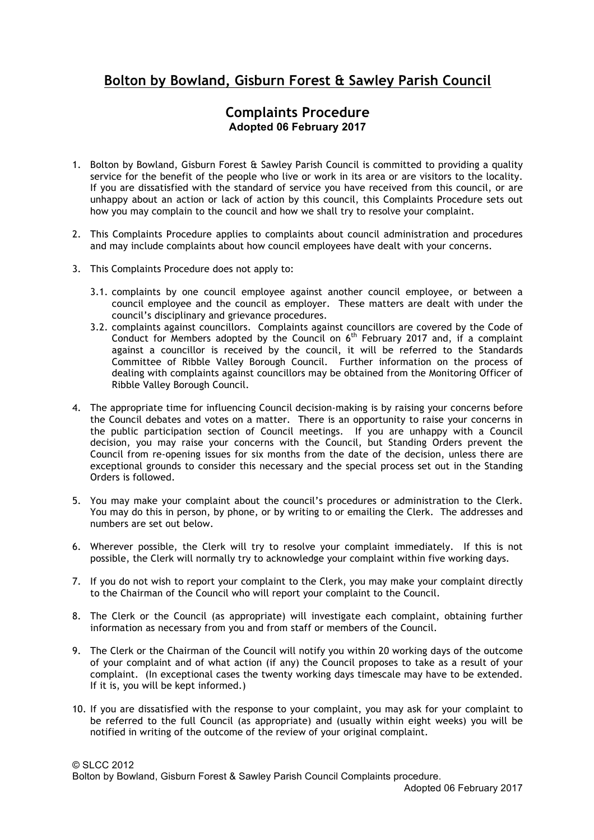## **Bolton by Bowland, Gisburn Forest & Sawley Parish Council**

## **Complaints Procedure Adopted 06 February 2017**

- 1. Bolton by Bowland, Gisburn Forest & Sawley Parish Council is committed to providing a quality service for the benefit of the people who live or work in its area or are visitors to the locality. If you are dissatisfied with the standard of service you have received from this council, or are unhappy about an action or lack of action by this council, this Complaints Procedure sets out how you may complain to the council and how we shall try to resolve your complaint.
- 2. This Complaints Procedure applies to complaints about council administration and procedures and may include complaints about how council employees have dealt with your concerns.
- 3. This Complaints Procedure does not apply to:
	- 3.1. complaints by one council employee against another council employee, or between a council employee and the council as employer. These matters are dealt with under the council's disciplinary and grievance procedures.
	- 3.2. complaints against councillors. Complaints against councillors are covered by the Code of Conduct for Members adopted by the Council on  $6<sup>th</sup>$  February 2017 and, if a complaint against a councillor is received by the council, it will be referred to the Standards Committee of Ribble Valley Borough Council. Further information on the process of dealing with complaints against councillors may be obtained from the Monitoring Officer of Ribble Valley Borough Council.
- 4. The appropriate time for influencing Council decision-making is by raising your concerns before the Council debates and votes on a matter. There is an opportunity to raise your concerns in the public participation section of Council meetings. If you are unhappy with a Council decision, you may raise your concerns with the Council, but Standing Orders prevent the Council from re-opening issues for six months from the date of the decision, unless there are exceptional grounds to consider this necessary and the special process set out in the Standing Orders is followed.
- 5. You may make your complaint about the council's procedures or administration to the Clerk. You may do this in person, by phone, or by writing to or emailing the Clerk. The addresses and numbers are set out below.
- 6. Wherever possible, the Clerk will try to resolve your complaint immediately. If this is not possible, the Clerk will normally try to acknowledge your complaint within five working days.
- 7. If you do not wish to report your complaint to the Clerk, you may make your complaint directly to the Chairman of the Council who will report your complaint to the Council.
- 8. The Clerk or the Council (as appropriate) will investigate each complaint, obtaining further information as necessary from you and from staff or members of the Council.
- 9. The Clerk or the Chairman of the Council will notify you within 20 working days of the outcome of your complaint and of what action (if any) the Council proposes to take as a result of your complaint. (In exceptional cases the twenty working days timescale may have to be extended. If it is, you will be kept informed.)
- 10. If you are dissatisfied with the response to your complaint, you may ask for your complaint to be referred to the full Council (as appropriate) and (usually within eight weeks) you will be notified in writing of the outcome of the review of your original complaint.